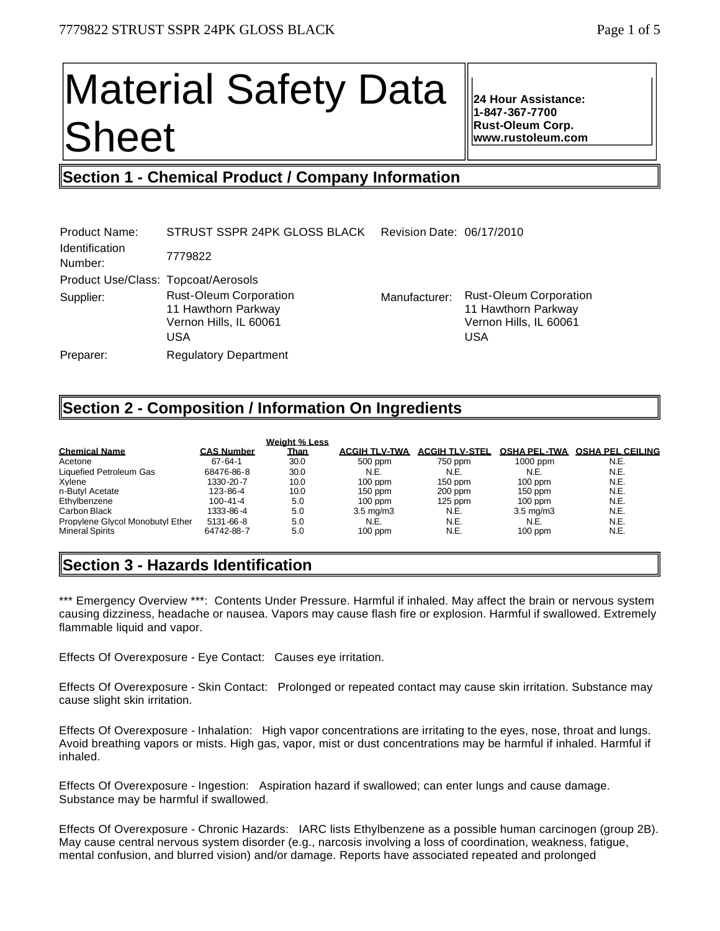# Material Safety Data Sheet

**24 Hour Assistance: 1-847-367-7700 Rust-Oleum Corp. www.rustoleum.com**

## **Section 1 - Chemical Product / Company Information**

| <b>Product Name:</b>                | STRUST SSPR 24PK GLOSS BLACK                                                          | Revision Date: 06/17/2010 |                                                                                              |
|-------------------------------------|---------------------------------------------------------------------------------------|---------------------------|----------------------------------------------------------------------------------------------|
| <b>Identification</b><br>Number:    | 7779822                                                                               |                           |                                                                                              |
| Product Use/Class: Topcoat/Aerosols |                                                                                       |                           |                                                                                              |
| Supplier:                           | <b>Rust-Oleum Corporation</b><br>11 Hawthorn Parkway<br>Vernon Hills, IL 60061<br>USA | Manufacturer:             | <b>Rust-Oleum Corporation</b><br>11 Hawthorn Parkway<br>Vernon Hills, IL 60061<br><b>USA</b> |
| Preparer:                           | <b>Regulatory Department</b>                                                          |                           |                                                                                              |

## **Section 2 - Composition / Information On Ingredients**

|                                  |                   | <b>Weight % Less</b> |                      |                       |                     |                         |
|----------------------------------|-------------------|----------------------|----------------------|-----------------------|---------------------|-------------------------|
| <b>Chemical Name</b>             | <b>CAS Number</b> | <u>Than</u>          | <b>ACGIH TLV-TWA</b> | <b>ACGIH TLV-STEL</b> | <b>OSHA PEL-TWA</b> | <b>OSHA PEL CEILING</b> |
| Acetone                          | $67 - 64 - 1$     | 30.0                 | 500 ppm              | 750 ppm               | $1000$ ppm          | N.E.                    |
| Liquefied Petroleum Gas          | 68476-86-8        | 30.0                 | N.E.                 | N.E.                  | N.E.                | N.E.                    |
| Xvlene                           | 1330-20-7         | 10.0                 | $100$ ppm            | $150$ ppm             | $100$ ppm           | N.E.                    |
| n-Butyl Acetate                  | 123-86-4          | 10.0                 | $150$ ppm            | $200$ ppm             | $150$ ppm           | N.E.                    |
| Ethylbenzene                     | 100-41-4          | 5.0                  | $100$ ppm            | $125$ ppm             | $100$ ppm           | N.E.                    |
| Carbon Black                     | 1333-86-4         | 5.0                  | $3.5 \text{ mg/m}$   | N.E.                  | $3.5 \text{ mg/m}$  | N.E.                    |
| Propylene Givcol Monobutyl Ether | $5131 - 66 - 8$   | 5.0                  | N.E.                 | N.E.                  | N.E.                | N.E.                    |
| <b>Mineral Spirits</b>           | 64742-88-7        | 5.0                  | $100$ ppm            | N.E.                  | $100$ ppm           | N.E.                    |

## **Section 3 - Hazards Identification**

\*\*\* Emergency Overview \*\*\*: Contents Under Pressure. Harmful if inhaled. May affect the brain or nervous system causing dizziness, headache or nausea. Vapors may cause flash fire or explosion. Harmful if swallowed. Extremely flammable liquid and vapor.

Effects Of Overexposure - Eye Contact: Causes eye irritation.

Effects Of Overexposure - Skin Contact: Prolonged or repeated contact may cause skin irritation. Substance may cause slight skin irritation.

Effects Of Overexposure - Inhalation: High vapor concentrations are irritating to the eyes, nose, throat and lungs. Avoid breathing vapors or mists. High gas, vapor, mist or dust concentrations may be harmful if inhaled. Harmful if inhaled.

Effects Of Overexposure - Ingestion: Aspiration hazard if swallowed; can enter lungs and cause damage. Substance may be harmful if swallowed.

Effects Of Overexposure - Chronic Hazards: IARC lists Ethylbenzene as a possible human carcinogen (group 2B). May cause central nervous system disorder (e.g., narcosis involving a loss of coordination, weakness, fatigue, mental confusion, and blurred vision) and/or damage. Reports have associated repeated and prolonged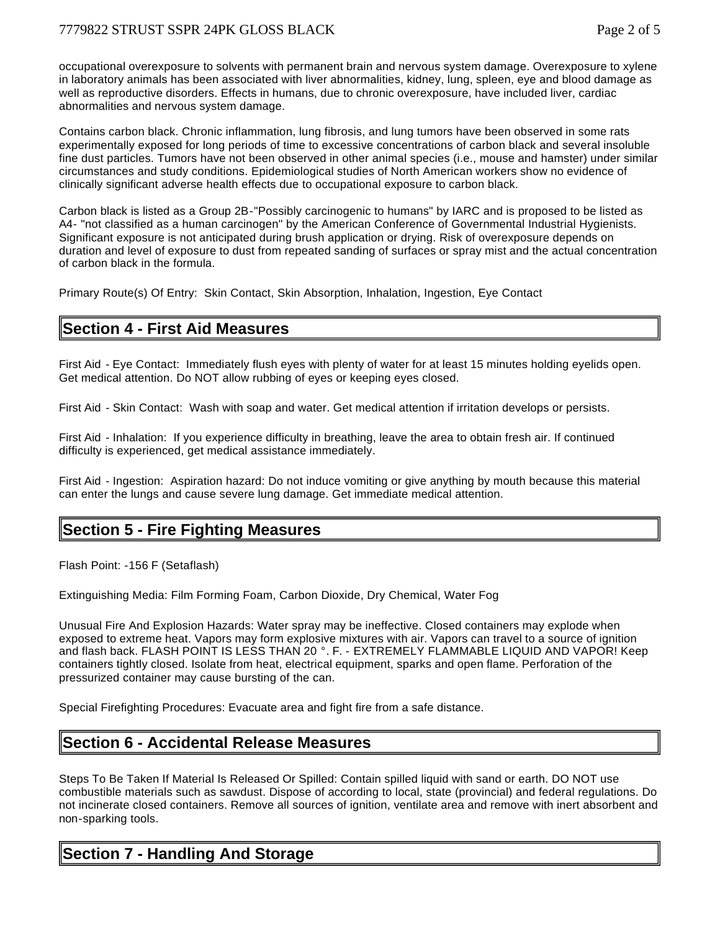occupational overexposure to solvents with permanent brain and nervous system damage. Overexposure to xylene in laboratory animals has been associated with liver abnormalities, kidney, lung, spleen, eye and blood damage as well as reproductive disorders. Effects in humans, due to chronic overexposure, have included liver, cardiac abnormalities and nervous system damage.

Contains carbon black. Chronic inflammation, lung fibrosis, and lung tumors have been observed in some rats experimentally exposed for long periods of time to excessive concentrations of carbon black and several insoluble fine dust particles. Tumors have not been observed in other animal species (i.e., mouse and hamster) under similar circumstances and study conditions. Epidemiological studies of North American workers show no evidence of clinically significant adverse health effects due to occupational exposure to carbon black.

Carbon black is listed as a Group 2B-"Possibly carcinogenic to humans" by IARC and is proposed to be listed as A4- "not classified as a human carcinogen" by the American Conference of Governmental Industrial Hygienists. Significant exposure is not anticipated during brush application or drying. Risk of overexposure depends on duration and level of exposure to dust from repeated sanding of surfaces or spray mist and the actual concentration of carbon black in the formula.

Primary Route(s) Of Entry: Skin Contact, Skin Absorption, Inhalation, Ingestion, Eye Contact

## **Section 4 - First Aid Measures**

First Aid - Eye Contact: Immediately flush eyes with plenty of water for at least 15 minutes holding eyelids open. Get medical attention. Do NOT allow rubbing of eyes or keeping eyes closed.

First Aid - Skin Contact: Wash with soap and water. Get medical attention if irritation develops or persists.

First Aid - Inhalation: If you experience difficulty in breathing, leave the area to obtain fresh air. If continued difficulty is experienced, get medical assistance immediately.

First Aid - Ingestion: Aspiration hazard: Do not induce vomiting or give anything by mouth because this material can enter the lungs and cause severe lung damage. Get immediate medical attention.

## **Section 5 - Fire Fighting Measures**

Flash Point: -156 F (Setaflash)

Extinguishing Media: Film Forming Foam, Carbon Dioxide, Dry Chemical, Water Fog

Unusual Fire And Explosion Hazards: Water spray may be ineffective. Closed containers may explode when exposed to extreme heat. Vapors may form explosive mixtures with air. Vapors can travel to a source of ignition and flash back. FLASH POINT IS LESS THAN 20 °. F. - EXTREMELY FLAMMABLE LIQUID AND VAPOR! Keep containers tightly closed. Isolate from heat, electrical equipment, sparks and open flame. Perforation of the pressurized container may cause bursting of the can.

Special Firefighting Procedures: Evacuate area and fight fire from a safe distance.

## **Section 6 - Accidental Release Measures**

Steps To Be Taken If Material Is Released Or Spilled: Contain spilled liquid with sand or earth. DO NOT use combustible materials such as sawdust. Dispose of according to local, state (provincial) and federal regulations. Do not incinerate closed containers. Remove all sources of ignition, ventilate area and remove with inert absorbent and non-sparking tools.

## **Section 7 - Handling And Storage**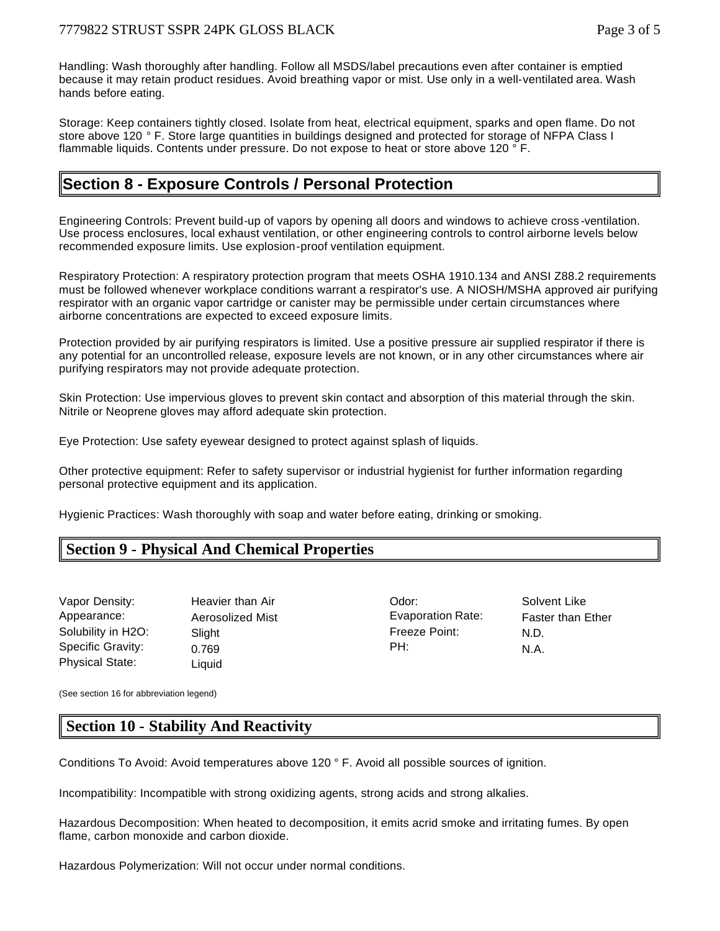Handling: Wash thoroughly after handling. Follow all MSDS/label precautions even after container is emptied because it may retain product residues. Avoid breathing vapor or mist. Use only in a well-ventilated area. Wash hands before eating.

Storage: Keep containers tightly closed. Isolate from heat, electrical equipment, sparks and open flame. Do not store above 120 ° F. Store large quantities in buildings designed and protected for storage of NFPA Class I flammable liquids. Contents under pressure. Do not expose to heat or store above 120 ° F.

## **Section 8 - Exposure Controls / Personal Protection**

Engineering Controls: Prevent build-up of vapors by opening all doors and windows to achieve cross -ventilation. Use process enclosures, local exhaust ventilation, or other engineering controls to control airborne levels below recommended exposure limits. Use explosion-proof ventilation equipment.

Respiratory Protection: A respiratory protection program that meets OSHA 1910.134 and ANSI Z88.2 requirements must be followed whenever workplace conditions warrant a respirator's use. A NIOSH/MSHA approved air purifying respirator with an organic vapor cartridge or canister may be permissible under certain circumstances where airborne concentrations are expected to exceed exposure limits.

Protection provided by air purifying respirators is limited. Use a positive pressure air supplied respirator if there is any potential for an uncontrolled release, exposure levels are not known, or in any other circumstances where air purifying respirators may not provide adequate protection.

Skin Protection: Use impervious gloves to prevent skin contact and absorption of this material through the skin. Nitrile or Neoprene gloves may afford adequate skin protection.

Eye Protection: Use safety eyewear designed to protect against splash of liquids.

Other protective equipment: Refer to safety supervisor or industrial hygienist for further information regarding personal protective equipment and its application.

Hygienic Practices: Wash thoroughly with soap and water before eating, drinking or smoking.

## **Section 9 - Physical And Chemical Properties**

| Vapor Density:         | Heavier than Air | Odor:             | Solv |
|------------------------|------------------|-------------------|------|
| Appearance:            | Aerosolized Mist | Evaporation Rate: | Fast |
| Solubility in H2O:     | Slight           | Freeze Point:     | N.D. |
| Specific Gravity:      | 0.769            | PH:               | N.A. |
| <b>Physical State:</b> | Liquid           |                   |      |

an Air New Collection Collection Collection Collective Collection Collective Collection Collective Collection d Mist **Aeros** Evaporation Rate: Faster than Ether Freeze Point: N.D.

(See section 16 for abbreviation legend)

## **Section 10 - Stability And Reactivity**

Conditions To Avoid: Avoid temperatures above 120 ° F. Avoid all possible sources of ignition.

Incompatibility: Incompatible with strong oxidizing agents, strong acids and strong alkalies.

Hazardous Decomposition: When heated to decomposition, it emits acrid smoke and irritating fumes. By open flame, carbon monoxide and carbon dioxide.

Hazardous Polymerization: Will not occur under normal conditions.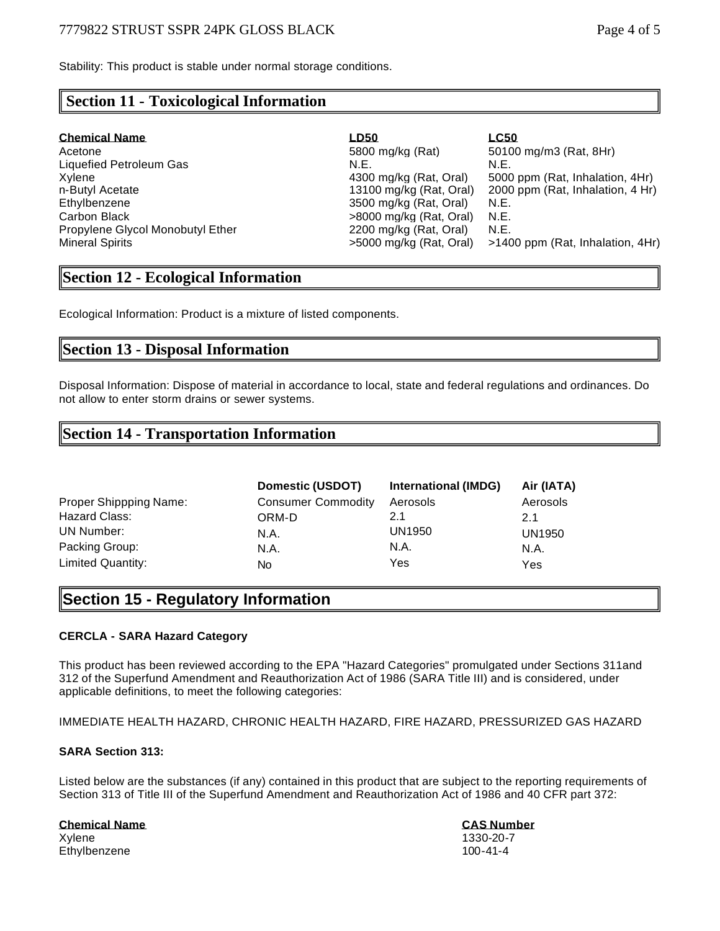Stability: This product is stable under normal storage conditions.

## **Section 11 - Toxicological Information**

| <b>Chemical Name</b>             | LD50                      | <b>LC50</b>                      |
|----------------------------------|---------------------------|----------------------------------|
| Acetone                          | 5800 mg/kg (Rat)          | 50100 mg/m3 (Rat, 8Hr)           |
| Liquefied Petroleum Gas          | N.E.                      | N.E.                             |
| Xvlene                           | 4300 mg/kg (Rat, Oral)    | 5000 ppm (Rat, Inhalation, 4Hr)  |
| n-Butyl Acetate                  | 13100 mg/kg (Rat, Oral)   | 2000 ppm (Rat, Inhalation, 4 Hr) |
| Ethvlbenzene                     | 3500 mg/kg (Rat, Oral)    | N.E.                             |
| Carbon Black                     | $>8000$ mg/kg (Rat, Oral) | N.E.                             |
| Propylene Glycol Monobutyl Ether | 2200 mg/kg (Rat, Oral)    | N.E.                             |
| Mineral Spirits                  | >5000 mg/kg (Rat, Oral)   | >1400 ppm (Rat, Inhalation, 4Hr) |

## **Section 12 - Ecological Information**

Ecological Information: Product is a mixture of listed components.

## **Section 13 - Disposal Information**

Disposal Information: Dispose of material in accordance to local, state and federal regulations and ordinances. Do not allow to enter storm drains or sewer systems.

## **Section 14 - Transportation Information**

|                        | Domestic (USDOT)          | International (IMDG) | Air (IATA) |
|------------------------|---------------------------|----------------------|------------|
| Proper Shippping Name: | <b>Consumer Commodity</b> | Aerosols             | Aerosols   |
| Hazard Class:          | ORM-D                     | 2.1                  | 21         |
| UN Number:             | N.A.                      | UN1950               | UN1950     |
| Packing Group:         | N.A.                      | N.A.                 | N.A.       |
| Limited Quantity:      | No                        | Yes                  | Yes        |

## **Section 15 - Regulatory Information**

#### **CERCLA - SARA Hazard Category**

This product has been reviewed according to the EPA "Hazard Categories" promulgated under Sections 311and 312 of the Superfund Amendment and Reauthorization Act of 1986 (SARA Title III) and is considered, under applicable definitions, to meet the following categories:

IMMEDIATE HEALTH HAZARD, CHRONIC HEALTH HAZARD, FIRE HAZARD, PRESSURIZED GAS HAZARD

#### **SARA Section 313:**

Listed below are the substances (if any) contained in this product that are subject to the reporting requirements of Section 313 of Title III of the Superfund Amendment and Reauthorization Act of 1986 and 40 CFR part 372:

#### **Chemical Name CAS Number** Xylene 1330-20-7 Ethylbenzene 100-41-4